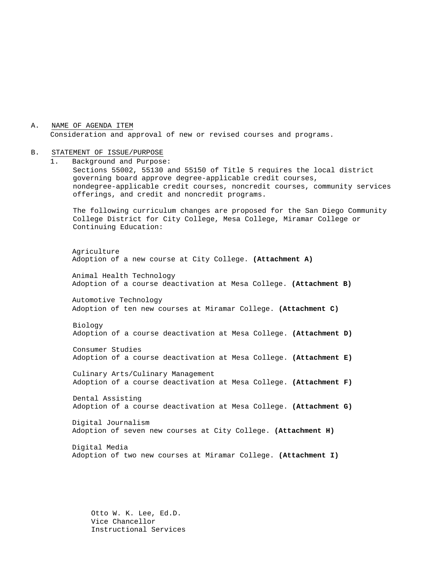A. NAME OF AGENDA ITEM Consideration and approval of new or revised courses and programs.

# B. STATEMENT OF ISSUE/PURPOSE

1. Background and Purpose: Sections 55002, 55130 and 55150 of Title 5 requires the local district governing board approve degree-applicable credit courses, nondegree-applicable credit courses, noncredit courses, community services offerings, and credit and noncredit programs. The following curriculum changes are proposed for the San Diego Community College District for City College, Mesa College, Miramar College or Continuing Education: Agriculture Adoption of a new course at City College. **(Attachment A)** Animal Health Technology Adoption of a course deactivation at Mesa College. **(Attachment B)** Automotive Technology Adoption of ten new courses at Miramar College. **(Attachment C)** Biology Adoption of a course deactivation at Mesa College. **(Attachment D)** Consumer Studies Adoption of a course deactivation at Mesa College. **(Attachment E)** Culinary Arts/Culinary Management Adoption of a course deactivation at Mesa College. **(Attachment F)** Dental Assisting Adoption of a course deactivation at Mesa College. **(Attachment G)** Digital Journalism Adoption of seven new courses at City College. **(Attachment H)** Digital Media Adoption of two new courses at Miramar College. **(Attachment I)**

> Otto W. K. Lee, Ed.D. Vice Chancellor Instructional Services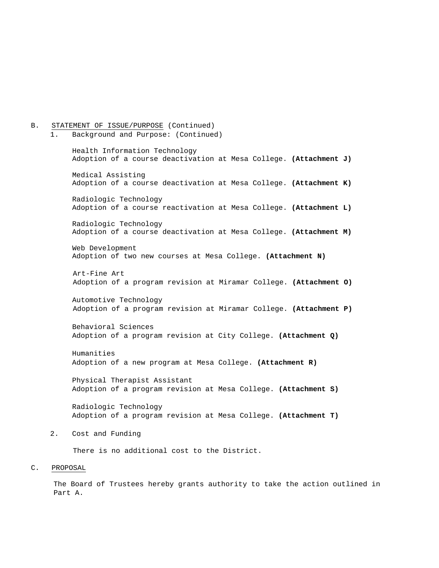# B. STATEMENT OF ISSUE/PURPOSE (Continued)<br>1. Background and Purpose: (Continued) 1. Background and Purpose: (Continued) Health Information Technology Adoption of a course deactivation at Mesa College. **(Attachment J)** Medical Assisting Adoption of a course deactivation at Mesa College. **(Attachment K)** Radiologic Technology Adoption of a course reactivation at Mesa College. **(Attachment L)** Radiologic Technology Adoption of a course deactivation at Mesa College. **(Attachment M)** Web Development Adoption of two new courses at Mesa College. **(Attachment N)** Art-Fine Art Adoption of a program revision at Miramar College. **(Attachment O)** Automotive Technology Adoption of a program revision at Miramar College. **(Attachment P)** Behavioral Sciences Adoption of a program revision at City College. **(Attachment Q)** Humanities Adoption of a new program at Mesa College. **(Attachment R)** Physical Therapist Assistant Adoption of a program revision at Mesa College. **(Attachment S)** Radiologic Technology Adoption of a program revision at Mesa College. **(Attachment T)** 2. Cost and Funding There is no additional cost to the District.

C. PROPOSAL

The Board of Trustees hereby grants authority to take the action outlined in Part A.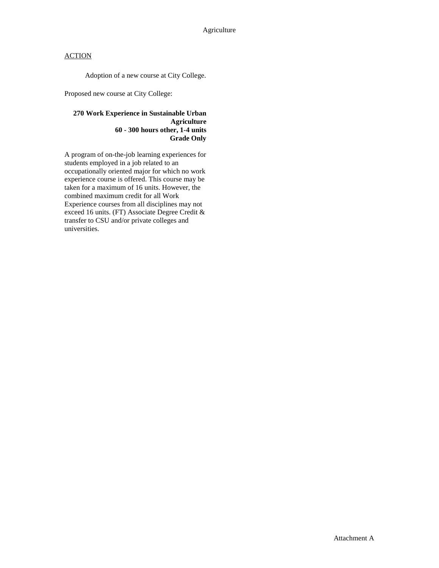Adoption of a new course at City College.

Proposed new course at City College:

#### **270 Work Experience in Sustainable Urban Agriculture 60 - 300 hours other, 1-4 units Grade Only**

A program of on-the-job learning experiences for students employed in a job related to an occupationally oriented major for which no work experience course is offered. This course may be taken for a maximum of 16 units. However, the combined maximum credit for all Work Experience courses from all disciplines may not exceed 16 units. (FT) Associate Degree Credit & transfer to CSU and/or private colleges and universities.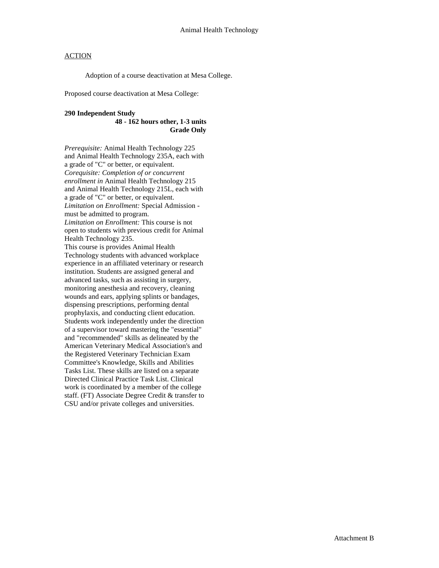Adoption of a course deactivation at Mesa College.

Proposed course deactivation at Mesa College:

#### **290 Independent Study**

#### **48 - 162 hours other, 1-3 units Grade Only**

*Prerequisite:* Animal Health Technology 225 and Animal Health Technology 235A, each with a grade of "C" or better, or equivalent. *Corequisite: Completion of or concurrent enrollment in* Animal Health Technology 215 and Animal Health Technology 215L, each with a grade of "C" or better, or equivalent. *Limitation on Enrollment:* Special Admission must be admitted to program. *Limitation on Enrollment:* This course is not open to students with previous credit for Animal Health Technology 235.

This course is provides Animal Health Technology students with advanced workplace experience in an affiliated veterinary or research institution. Students are assigned general and advanced tasks, such as assisting in surgery, monitoring anesthesia and recovery, cleaning wounds and ears, applying splints or bandages, dispensing prescriptions, performing dental prophylaxis, and conducting client education. Students work independently under the direction of a supervisor toward mastering the "essential" and "recommended" skills as delineated by the American Veterinary Medical Association's and the Registered Veterinary Technician Exam Committee's Knowledge, Skills and Abilities Tasks List. These skills are listed on a separate Directed Clinical Practice Task List. Clinical work is coordinated by a member of the college staff. (FT) Associate Degree Credit & transfer to CSU and/or private colleges and universities.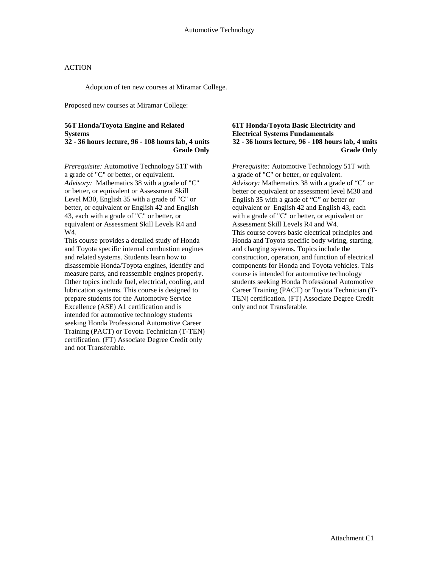Adoption of ten new courses at Miramar College.

Proposed new courses at Miramar College:

## **56T Honda/Toyota Engine and Related Systems**

**32 - 36 hours lecture, 96 - 108 hours lab, 4 units Grade Only**

*Prerequisite:* Automotive Technology 51T with a grade of "C" or better, or equivalent. *Advisory:* Mathematics 38 with a grade of "C" or better, or equivalent or Assessment Skill Level M30, English 35 with a grade of "C" or better, or equivalent or English 42 and English 43, each with a grade of "C" or better, or equivalent or Assessment Skill Levels R4 and W4.

This course provides a detailed study of Honda and Toyota specific internal combustion engines and related systems. Students learn how to disassemble Honda/Toyota engines, identify and measure parts, and reassemble engines properly. Other topics include fuel, electrical, cooling, and lubrication systems. This course is designed to prepare students for the Automotive Service Excellence (ASE) A1 certification and is intended for automotive technology students seeking Honda Professional Automotive Career Training (PACT) or Toyota Technician (T-TEN) certification. (FT) Associate Degree Credit only and not Transferable.

#### **61T Honda/Toyota Basic Electricity and Electrical Systems Fundamentals 32 - 36 hours lecture, 96 - 108 hours lab, 4 units Grade Only**

*Prerequisite:* Automotive Technology 51T with a grade of "C" or better, or equivalent. *Advisory:* Mathematics 38 with a grade of "C" or better or equivalent or assessment level M30 and English 35 with a grade of "C" or better or equivalent or English 42 and English 43, each with a grade of "C" or better, or equivalent or Assessment Skill Levels R4 and W4. This course covers basic electrical principles and Honda and Toyota specific body wiring, starting, and charging systems. Topics include the construction, operation, and function of electrical components for Honda and Toyota vehicles. This course is intended for automotive technology students seeking Honda Professional Automotive Career Training (PACT) or Toyota Technician (T-TEN) certification. (FT) Associate Degree Credit only and not Transferable.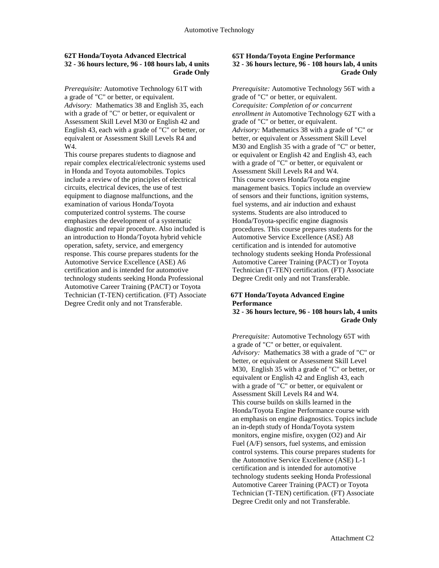#### **62T Honda/Toyota Advanced Electrical 32 - 36 hours lecture, 96 - 108 hours lab, 4 units Grade Only**

*Prerequisite:* Automotive Technology 61T with a grade of "C" or better, or equivalent. *Advisory:* Mathematics 38 and English 35, each with a grade of "C" or better, or equivalent or Assessment Skill Level M30 or English 42 and English 43, each with a grade of "C" or better, or equivalent or Assessment Skill Levels R4 and W4.

This course prepares students to diagnose and repair complex electrical/electronic systems used in Honda and Toyota automobiles. Topics include a review of the principles of electrical circuits, electrical devices, the use of test equipment to diagnose malfunctions, and the examination of various Honda/Toyota computerized control systems. The course emphasizes the development of a systematic diagnostic and repair procedure. Also included is an introduction to Honda/Toyota hybrid vehicle operation, safety, service, and emergency response. This course prepares students for the Automotive Service Excellence (ASE) A6 certification and is intended for automotive technology students seeking Honda Professional Automotive Career Training (PACT) or Toyota Technician (T-TEN) certification. (FT) Associate Degree Credit only and not Transferable.

#### **65T Honda/Toyota Engine Performance 32 - 36 hours lecture, 96 - 108 hours lab, 4 units Grade Only**

*Prerequisite:* Automotive Technology 56T with a grade of "C" or better, or equivalent. *Corequisite: Completion of or concurrent enrollment in* Automotive Technology 62T with a grade of "C" or better, or equivalent. *Advisory:* Mathematics 38 with a grade of "C" or better, or equivalent or Assessment Skill Level M30 and English 35 with a grade of "C" or better, or equivalent or English 42 and English 43, each with a grade of "C" or better, or equivalent or Assessment Skill Levels R4 and W4. This course covers Honda/Toyota engine management basics. Topics include an overview of sensors and their functions, ignition systems, fuel systems, and air induction and exhaust systems. Students are also introduced to Honda/Toyota-specific engine diagnosis procedures. This course prepares students for the Automotive Service Excellence (ASE) A8 certification and is intended for automotive technology students seeking Honda Professional Automotive Career Training (PACT) or Toyota Technician (T-TEN) certification. (FT) Associate Degree Credit only and not Transferable.

### **67T Honda/Toyota Advanced Engine Performance**

**32 - 36 hours lecture, 96 - 108 hours lab, 4 units Grade Only**

*Prerequisite:* Automotive Technology 65T with a grade of "C" or better, or equivalent. *Advisory:* Mathematics 38 with a grade of "C" or better, or equivalent or Assessment Skill Level M30, English 35 with a grade of "C" or better, or equivalent or English 42 and English 43, each with a grade of "C" or better, or equivalent or Assessment Skill Levels R4 and W4. This course builds on skills learned in the Honda/Toyota Engine Performance course with an emphasis on engine diagnostics. Topics include an in-depth study of Honda/Toyota system monitors, engine misfire, oxygen (O2) and Air Fuel (A/F) sensors, fuel systems, and emission control systems. This course prepares students for the Automotive Service Excellence (ASE) L-1 certification and is intended for automotive technology students seeking Honda Professional Automotive Career Training (PACT) or Toyota Technician (T-TEN) certification. (FT) Associate Degree Credit only and not Transferable.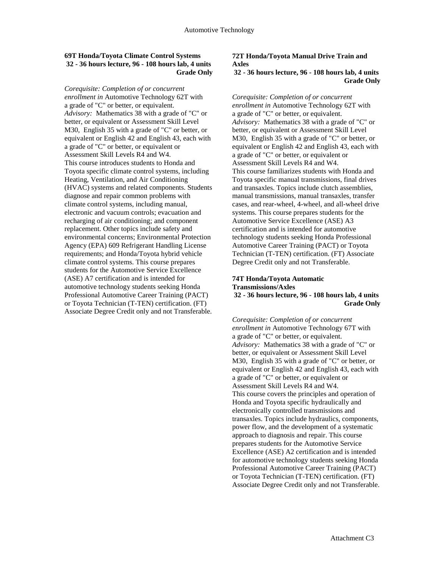#### **69T Honda/Toyota Climate Control Systems 32 - 36 hours lecture, 96 - 108 hours lab, 4 units Grade Only**

*Corequisite: Completion of or concurrent enrollment in* Automotive Technology 62T with a grade of "C" or better, or equivalent. *Advisory:* Mathematics 38 with a grade of "C" or better, or equivalent or Assessment Skill Level M30, English 35 with a grade of "C" or better, or equivalent or English 42 and English 43, each with a grade of "C" or better, or equivalent or Assessment Skill Levels R4 and W4. This course introduces students to Honda and Toyota specific climate control systems, including Heating, Ventilation, and Air Conditioning (HVAC) systems and related components. Students diagnose and repair common problems with climate control systems, including manual, electronic and vacuum controls; evacuation and recharging of air conditioning; and component replacement. Other topics include safety and environmental concerns; Environmental Protection Agency (EPA) 609 Refrigerant Handling License requirements; and Honda/Toyota hybrid vehicle climate control systems. This course prepares students for the Automotive Service Excellence (ASE) A7 certification and is intended for automotive technology students seeking Honda Professional Automotive Career Training (PACT) or Toyota Technician (T-TEN) certification. (FT) Associate Degree Credit only and not Transferable.

### **72T Honda/Toyota Manual Drive Train and Axles**

#### **32 - 36 hours lecture, 96 - 108 hours lab, 4 units Grade Only**

*Corequisite: Completion of or concurrent enrollment in* Automotive Technology 62T with a grade of "C" or better, or equivalent. *Advisory:* Mathematics 38 with a grade of "C" or better, or equivalent or Assessment Skill Level M30, English 35 with a grade of "C" or better, or equivalent or English 42 and English 43, each with a grade of "C" or better, or equivalent or Assessment Skill Levels R4 and W4. This course familiarizes students with Honda and Toyota specific manual transmissions, final drives and transaxles. Topics include clutch assemblies, manual transmissions, manual transaxles, transfer cases, and rear-wheel, 4-wheel, and all-wheel drive systems. This course prepares students for the Automotive Service Excellence (ASE) A3 certification and is intended for automotive technology students seeking Honda Professional Automotive Career Training (PACT) or Toyota Technician (T-TEN) certification. (FT) Associate Degree Credit only and not Transferable.

#### **74T Honda/Toyota Automatic Transmissions/Axles 32 - 36 hours lecture, 96 - 108 hours lab, 4 units Grade Only**

*Corequisite: Completion of or concurrent enrollment in* Automotive Technology 67T with a grade of "C" or better, or equivalent. *Advisory:* Mathematics 38 with a grade of "C" or better, or equivalent or Assessment Skill Level M30, English 35 with a grade of "C" or better, or equivalent or English 42 and English 43, each with a grade of "C" or better, or equivalent or Assessment Skill Levels R4 and W4. This course covers the principles and operation of Honda and Toyota specific hydraulically and electronically controlled transmissions and transaxles. Topics include hydraulics, components, power flow, and the development of a systematic approach to diagnosis and repair. This course prepares students for the Automotive Service Excellence (ASE) A2 certification and is intended for automotive technology students seeking Honda Professional Automotive Career Training (PACT) or Toyota Technician (T-TEN) certification. (FT) Associate Degree Credit only and not Transferable.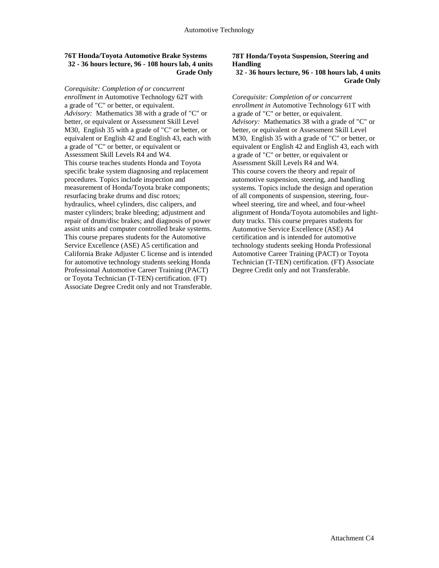#### **76T Honda/Toyota Automotive Brake Systems 32 - 36 hours lecture, 96 - 108 hours lab, 4 units Grade Only**

*Corequisite: Completion of or concurrent enrollment in* Automotive Technology 62T with a grade of "C" or better, or equivalent. *Advisory:* Mathematics 38 with a grade of "C" or better, or equivalent or Assessment Skill Level M30, English 35 with a grade of "C" or better, or equivalent or English 42 and English 43, each with a grade of "C" or better, or equivalent or Assessment Skill Levels R4 and W4. This course teaches students Honda and Toyota specific brake system diagnosing and replacement procedures. Topics include inspection and measurement of Honda/Toyota brake components; resurfacing brake drums and disc rotors; hydraulics, wheel cylinders, disc calipers, and master cylinders; brake bleeding; adjustment and repair of drum/disc brakes; and diagnosis of power assist units and computer controlled brake systems. This course prepares students for the Automotive Service Excellence (ASE) A5 certification and California Brake Adjuster C license and is intended for automotive technology students seeking Honda Professional Automotive Career Training (PACT) or Toyota Technician (T-TEN) certification. (FT) Associate Degree Credit only and not Transferable.

### **78T Honda/Toyota Suspension, Steering and Handling**

#### **32 - 36 hours lecture, 96 - 108 hours lab, 4 units Grade Only**

*Corequisite: Completion of or concurrent enrollment in* Automotive Technology 61T with a grade of "C" or better, or equivalent. *Advisory:* Mathematics 38 with a grade of "C" or better, or equivalent or Assessment Skill Level M30, English 35 with a grade of "C" or better, or equivalent or English 42 and English 43, each with a grade of "C" or better, or equivalent or Assessment Skill Levels R4 and W4. This course covers the theory and repair of automotive suspension, steering, and handling systems. Topics include the design and operation of all components of suspension, steering, fourwheel steering, tire and wheel, and four-wheel alignment of Honda/Toyota automobiles and lightduty trucks. This course prepares students for Automotive Service Excellence (ASE) A4 certification and is intended for automotive technology students seeking Honda Professional Automotive Career Training (PACT) or Toyota Technician (T-TEN) certification. (FT) Associate Degree Credit only and not Transferable.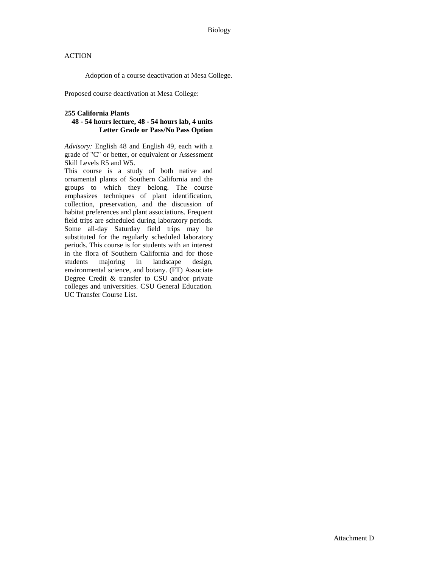Adoption of a course deactivation at Mesa College.

Proposed course deactivation at Mesa College:

#### **255 California Plants**

#### **48 - 54 hours lecture, 48 - 54 hours lab, 4 units Letter Grade or Pass/No Pass Option**

*Advisory:* English 48 and English 49, each with a grade of "C" or better, or equivalent or Assessment Skill Levels R5 and W5.

This course is a study of both native and ornamental plants of Southern California and the groups to which they belong. The course emphasizes techniques of plant identification, collection, preservation, and the discussion of habitat preferences and plant associations. Frequent field trips are scheduled during laboratory periods. Some all-day Saturday field trips may be substituted for the regularly scheduled laboratory periods. This course is for students with an interest in the flora of Southern California and for those<br>students majoring in landscape design. students majoring in landscape design, environmental science, and botany. (FT) Associate Degree Credit & transfer to CSU and/or private colleges and universities. CSU General Education. UC Transfer Course List.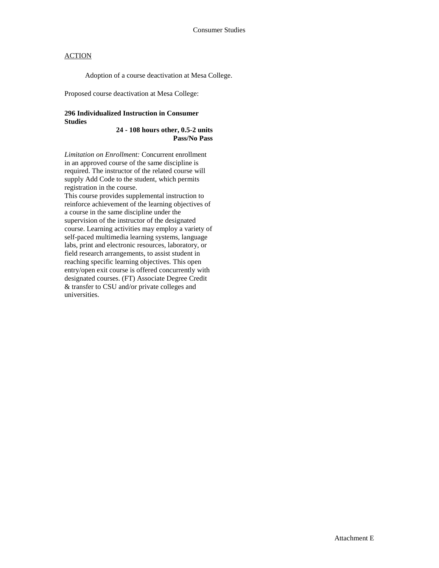Adoption of a course deactivation at Mesa College.

Proposed course deactivation at Mesa College:

#### **296 Individualized Instruction in Consumer Studies**

**24 - 108 hours other, 0.5-2 units Pass/No Pass**

*Limitation on Enrollment:* Concurrent enrollment in an approved course of the same discipline is required. The instructor of the related course will supply Add Code to the student, which permits registration in the course. This course provides supplemental instruction to reinforce achievement of the learning objectives of a course in the same discipline under the supervision of the instructor of the designated course. Learning activities may employ a variety of self-paced multimedia learning systems, language labs, print and electronic resources, laboratory, or field research arrangements, to assist student in reaching specific learning objectives. This open entry/open exit course is offered concurrently with designated courses. (FT) Associate Degree Credit & transfer to CSU and/or private colleges and universities.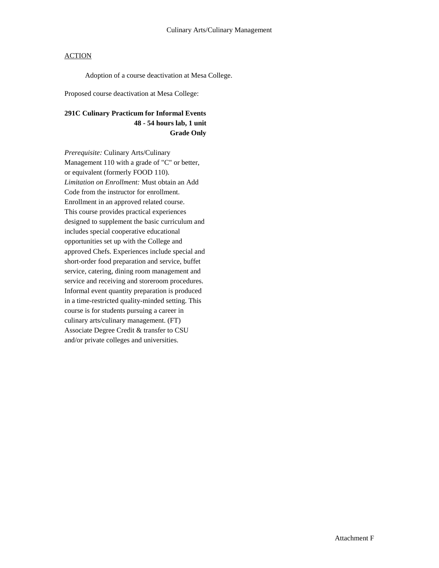Adoption of a course deactivation at Mesa College.

Proposed course deactivation at Mesa College:

## **291C Culinary Practicum for Informal Events 48 - 54 hours lab, 1 unit Grade Only**

*Prerequisite:* Culinary Arts/Culinary Management 110 with a grade of "C" or better, or equivalent (formerly FOOD 110). *Limitation on Enrollment:* Must obtain an Add Code from the instructor for enrollment. Enrollment in an approved related course. This course provides practical experiences designed to supplement the basic curriculum and includes special cooperative educational opportunities set up with the College and approved Chefs. Experiences include special and short-order food preparation and service, buffet service, catering, dining room management and service and receiving and storeroom procedures. Informal event quantity preparation is produced in a time-restricted quality-minded setting. This course is for students pursuing a career in culinary arts/culinary management. (FT) Associate Degree Credit & transfer to CSU and/or private colleges and universities.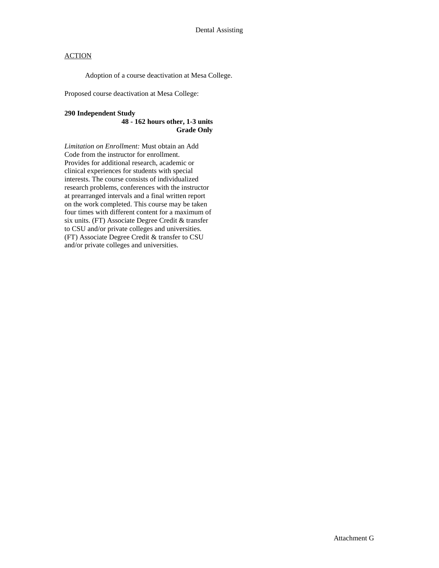Adoption of a course deactivation at Mesa College.

Proposed course deactivation at Mesa College:

#### **290 Independent Study**

#### **48 - 162 hours other, 1-3 units Grade Only**

*Limitation on Enrollment:* Must obtain an Add Code from the instructor for enrollment. Provides for additional research, academic or clinical experiences for students with special interests. The course consists of individualized research problems, conferences with the instructor at prearranged intervals and a final written report on the work completed. This course may be taken four times with different content for a maximum of six units. (FT) Associate Degree Credit & transfer to CSU and/or private colleges and universities. (FT) Associate Degree Credit & transfer to CSU and/or private colleges and universities.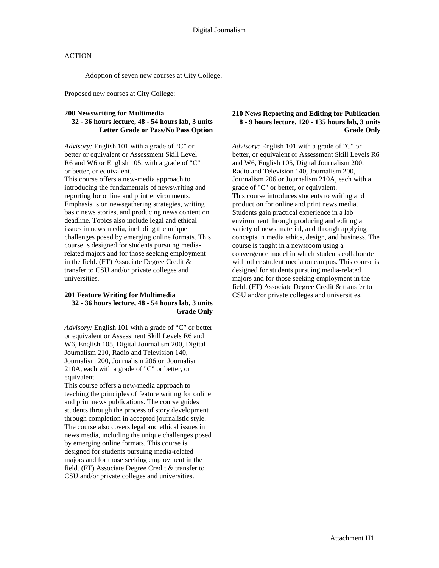Adoption of seven new courses at City College.

Proposed new courses at City College:

#### **200 Newswriting for Multimedia**

#### **32 - 36 hours lecture, 48 - 54 hours lab, 3 units Letter Grade or Pass/No Pass Option**

*Advisory:* English 101 with a grade of "C" or better or equivalent or Assessment Skill Level R6 and W6 or English 105, with a grade of "C" or better, or equivalent.

This course offers a new-media approach to introducing the fundamentals of newswriting and reporting for online and print environments. Emphasis is on newsgathering strategies, writing basic news stories, and producing news content on deadline. Topics also include legal and ethical issues in news media, including the unique challenges posed by emerging online formats. This course is designed for students pursuing mediarelated majors and for those seeking employment in the field. (FT) Associate Degree Credit & transfer to CSU and/or private colleges and universities.

#### **201 Feature Writing for Multimedia 32 - 36 hours lecture, 48 - 54 hours lab, 3 units Grade Only**

*Advisory:* English 101 with a grade of "C" or better or equivalent or Assessment Skill Levels R6 and W6, English 105, Digital Journalism 200, Digital Journalism 210, Radio and Television 140, Journalism 200, Journalism 206 or Journalism 210A, each with a grade of "C" or better, or equivalent.

This course offers a new-media approach to teaching the principles of feature writing for online and print news publications. The course guides students through the process of story development through completion in accepted journalistic style. The course also covers legal and ethical issues in news media, including the unique challenges posed by emerging online formats. This course is designed for students pursuing media-related majors and for those seeking employment in the field. (FT) Associate Degree Credit & transfer to CSU and/or private colleges and universities.

#### **210 News Reporting and Editing for Publication 8 - 9 hours lecture, 120 - 135 hours lab, 3 units Grade Only**

*Advisory:* English 101 with a grade of "C" or better, or equivalent or Assessment Skill Levels R6 and W6, English 105, Digital Journalism 200, Radio and Television 140, Journalism 200, Journalism 206 or Journalism 210A, each with a grade of "C" or better, or equivalent. This course introduces students to writing and production for online and print news media. Students gain practical experience in a lab environment through producing and editing a variety of news material, and through applying concepts in media ethics, design, and business. The course is taught in a newsroom using a convergence model in which students collaborate with other student media on campus. This course is designed for students pursuing media-related majors and for those seeking employment in the field. (FT) Associate Degree Credit & transfer to CSU and/or private colleges and universities.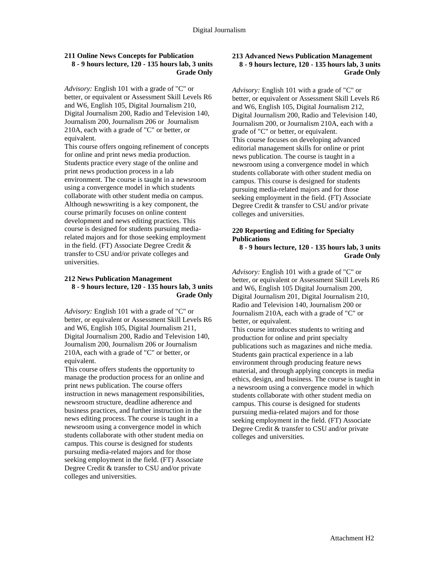#### **211 Online News Concepts for Publication 8 - 9 hours lecture, 120 - 135 hours lab, 3 units Grade Only**

*Advisory:* English 101 with a grade of "C" or better, or equivalent or Assessment Skill Levels R6 and W6, English 105, Digital Journalism 210, Digital Journalism 200, Radio and Television 140, Journalism 200, Journalism 206 or Journalism 210A, each with a grade of "C" or better, or equivalent.

This course offers ongoing refinement of concepts for online and print news media production. Students practice every stage of the online and print news production process in a lab environment. The course is taught in a newsroom using a convergence model in which students collaborate with other student media on campus. Although newswriting is a key component, the course primarily focuses on online content development and news editing practices. This course is designed for students pursuing mediarelated majors and for those seeking employment in the field. (FT) Associate Degree Credit & transfer to CSU and/or private colleges and universities.

#### **212 News Publication Management 8 - 9 hours lecture, 120 - 135 hours lab, 3 units Grade Only**

*Advisory:* English 101 with a grade of "C" or better, or equivalent or Assessment Skill Levels R6 and W6, English 105, Digital Journalism 211, Digital Journalism 200, Radio and Television 140, Journalism 200, Journalism 206 or Journalism 210A, each with a grade of "C" or better, or equivalent.

This course offers students the opportunity to manage the production process for an online and print news publication. The course offers instruction in news management responsibilities, newsroom structure, deadline adherence and business practices, and further instruction in the news editing process. The course is taught in a newsroom using a convergence model in which students collaborate with other student media on campus. This course is designed for students pursuing media-related majors and for those seeking employment in the field. (FT) Associate Degree Credit & transfer to CSU and/or private colleges and universities.

#### **213 Advanced News Publication Management 8 - 9 hours lecture, 120 - 135 hours lab, 3 units Grade Only**

*Advisory:* English 101 with a grade of "C" or better, or equivalent or Assessment Skill Levels R6 and W6, English 105, Digital Journalism 212, Digital Journalism 200, Radio and Television 140, Journalism 200, or Journalism 210A, each with a grade of "C" or better, or equivalent. This course focuses on developing advanced editorial management skills for online or print news publication. The course is taught in a newsroom using a convergence model in which students collaborate with other student media on campus. This course is designed for students pursuing media-related majors and for those seeking employment in the field. (FT) Associate Degree Credit & transfer to CSU and/or private colleges and universities.

#### **220 Reporting and Editing for Specialty Publications**

**8 - 9 hours lecture, 120 - 135 hours lab, 3 units Grade Only**

*Advisory:* English 101 with a grade of "C" or better, or equivalent or Assessment Skill Levels R6 and W6, English 105 Digital Journalism 200, Digital Journalism 201, Digital Journalism 210, Radio and Television 140, Journalism 200 or Journalism 210A, each with a grade of "C" or better, or equivalent.

This course introduces students to writing and production for online and print specialty publications such as magazines and niche media. Students gain practical experience in a lab environment through producing feature news material, and through applying concepts in media ethics, design, and business. The course is taught in a newsroom using a convergence model in which students collaborate with other student media on campus. This course is designed for students pursuing media-related majors and for those seeking employment in the field. (FT) Associate Degree Credit & transfer to CSU and/or private colleges and universities.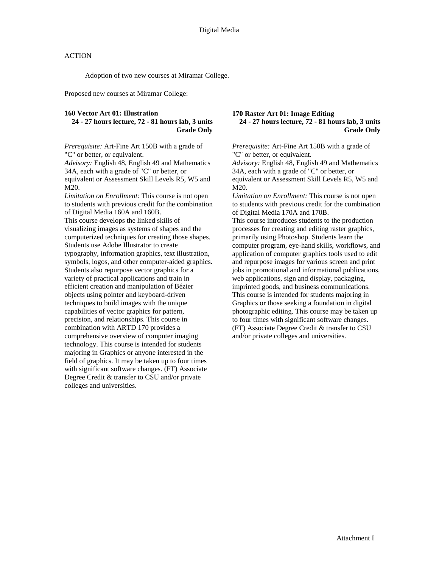Adoption of two new courses at Miramar College.

Proposed new courses at Miramar College:

#### **160 Vector Art 01: Illustration**

### **24 - 27 hours lecture, 72 - 81 hours lab, 3 units Grade Only**

*Prerequisite:* Art-Fine Art 150B with a grade of "C" or better, or equivalent.

*Advisory:* English 48, English 49 and Mathematics 34A, each with a grade of "C" or better, or

equivalent or Assessment Skill Levels R5, W5 and M20.

*Limitation on Enrollment:* This course is not open to students with previous credit for the combination of Digital Media 160A and 160B. This course develops the linked skills of visualizing images as systems of shapes and the computerized techniques for creating those shapes. Students use Adobe Illustrator to create typography, information graphics, text illustration, symbols, logos, and other computer-aided graphics. Students also repurpose vector graphics for a variety of practical applications and train in efficient creation and manipulation of Bézier objects using pointer and keyboard-driven techniques to build images with the unique capabilities of vector graphics for pattern, precision, and relationships. This course in combination with ARTD 170 provides a comprehensive overview of computer imaging technology. This course is intended for students majoring in Graphics or anyone interested in the field of graphics. It may be taken up to four times with significant software changes. (FT) Associate Degree Credit & transfer to CSU and/or private colleges and universities.

#### **170 Raster Art 01: Image Editing 24 - 27 hours lecture, 72 - 81 hours lab, 3 units Grade Only**

*Prerequisite:* Art-Fine Art 150B with a grade of "C" or better, or equivalent.

*Advisory:* English 48, English 49 and Mathematics 34A, each with a grade of "C" or better, or equivalent or Assessment Skill Levels R5, W5 and M20.

*Limitation on Enrollment:* This course is not open to students with previous credit for the combination of Digital Media 170A and 170B.

This course introduces students to the production processes for creating and editing raster graphics, primarily using Photoshop. Students learn the computer program, eye-hand skills, workflows, and application of computer graphics tools used to edit and repurpose images for various screen and print jobs in promotional and informational publications, web applications, sign and display, packaging, imprinted goods, and business communications. This course is intended for students majoring in Graphics or those seeking a foundation in digital photographic editing. This course may be taken up to four times with significant software changes. (FT) Associate Degree Credit & transfer to CSU and/or private colleges and universities.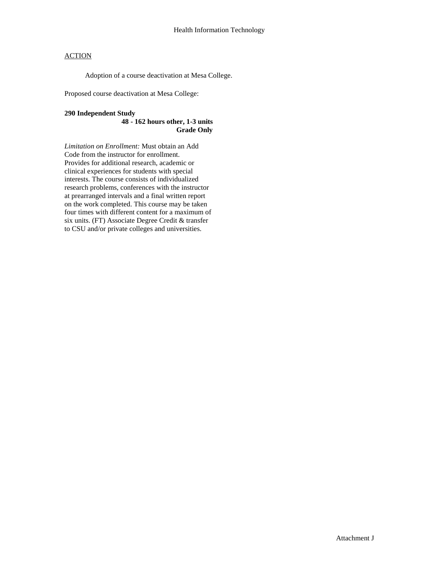Adoption of a course deactivation at Mesa College.

Proposed course deactivation at Mesa College:

#### **290 Independent Study**

#### **48 - 162 hours other, 1-3 units Grade Only**

*Limitation on Enrollment:* Must obtain an Add Code from the instructor for enrollment. Provides for additional research, academic or clinical experiences for students with special interests. The course consists of individualized research problems, conferences with the instructor at prearranged intervals and a final written report on the work completed. This course may be taken four times with different content for a maximum of six units. (FT) Associate Degree Credit & transfer to CSU and/or private colleges and universities.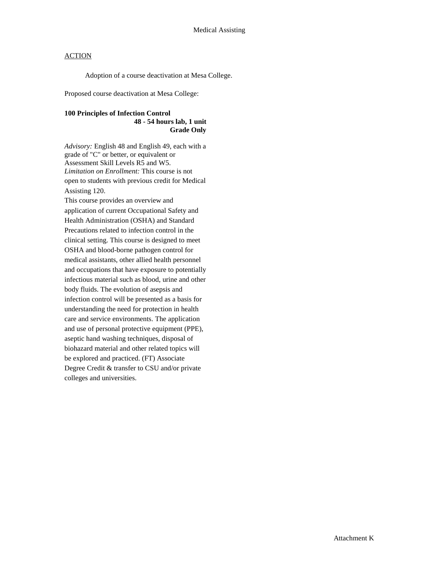Adoption of a course deactivation at Mesa College.

Proposed course deactivation at Mesa College:

#### **100 Principles of Infection Control 48 - 54 hours lab, 1 unit Grade Only**

*Advisory:* English 48 and English 49, each with a grade of "C" or better, or equivalent or Assessment Skill Levels R5 and W5. *Limitation on Enrollment:* This course is not open to students with previous credit for Medical Assisting 120. This course provides an overview and application of current Occupational Safety and Health Administration (OSHA) and Standard Precautions related to infection control in the clinical setting. This course is designed to meet OSHA and blood-borne pathogen control for medical assistants, other allied health personnel and occupations that have exposure to potentially infectious material such as blood, urine and other body fluids. The evolution of asepsis and infection control will be presented as a basis for understanding the need for protection in health care and service environments. The application and use of personal protective equipment (PPE), aseptic hand washing techniques, disposal of biohazard material and other related topics will be explored and practiced. (FT) Associate Degree Credit & transfer to CSU and/or private colleges and universities.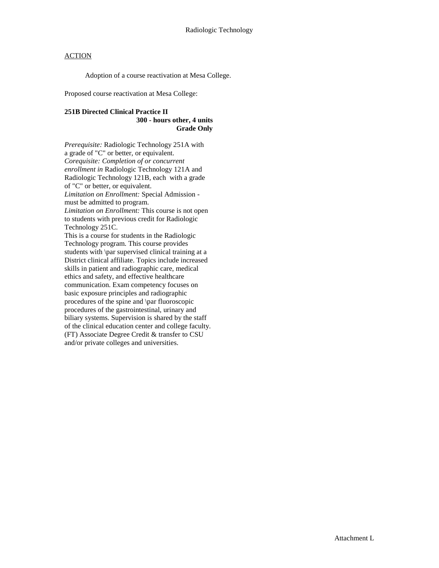Adoption of a course reactivation at Mesa College.

Proposed course reactivation at Mesa College:

#### **251B Directed Clinical Practice II 300 - hours other, 4 units Grade Only**

*Prerequisite:* Radiologic Technology 251A with a grade of "C" or better, or equivalent. *Corequisite: Completion of or concurrent enrollment in* Radiologic Technology 121A and Radiologic Technology 121B, each with a grade of "C" or better, or equivalent. *Limitation on Enrollment:* Special Admission must be admitted to program. *Limitation on Enrollment:* This course is not open to students with previous credit for Radiologic Technology 251C. This is a course for students in the Radiologic Technology program. This course provides students with \par supervised clinical training at a District clinical affiliate. Topics include increased skills in patient and radiographic care, medical ethics and safety, and effective healthcare communication. Exam competency focuses on basic exposure principles and radiographic procedures of the spine and \par fluoroscopic procedures of the gastrointestinal, urinary and biliary systems. Supervision is shared by the staff of the clinical education center and college faculty. (FT) Associate Degree Credit & transfer to CSU and/or private colleges and universities.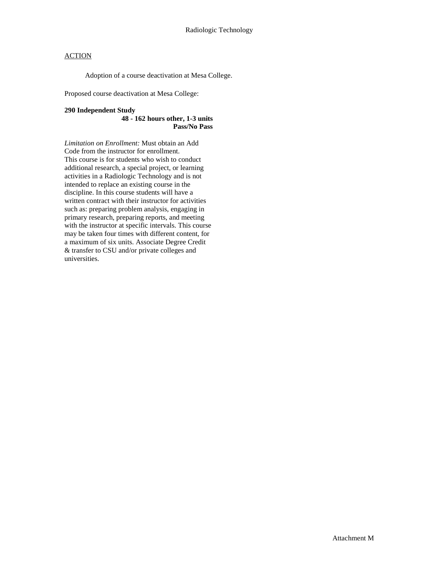Adoption of a course deactivation at Mesa College.

Proposed course deactivation at Mesa College:

#### **290 Independent Study**

**48 - 162 hours other, 1-3 units Pass/No Pass**

*Limitation on Enrollment:* Must obtain an Add Code from the instructor for enrollment. This course is for students who wish to conduct additional research, a special project, or learning activities in a Radiologic Technology and is not intended to replace an existing course in the discipline. In this course students will have a written contract with their instructor for activities such as: preparing problem analysis, engaging in primary research, preparing reports, and meeting with the instructor at specific intervals. This course may be taken four times with different content, for a maximum of six units. Associate Degree Credit & transfer to CSU and/or private colleges and universities.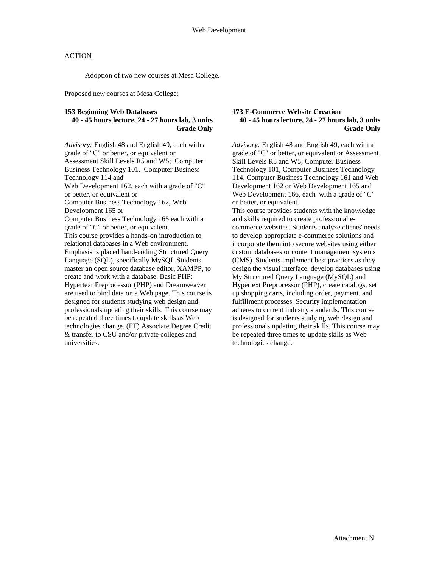Adoption of two new courses at Mesa College.

Proposed new courses at Mesa College:

#### **153 Beginning Web Databases**

#### **40 - 45 hours lecture, 24 - 27 hours lab, 3 units Grade Only**

*Advisory:* English 48 and English 49, each with a grade of "C" or better, or equivalent or Assessment Skill Levels R5 and W5; Computer Business Technology 101, Computer Business Technology 114 and Web Development 162, each with a grade of "C" or better, or equivalent or Computer Business Technology 162, Web Development 165 or Computer Business Technology 165 each with a grade of "C" or better, or equivalent. This course provides a hands-on introduction to relational databases in a Web environment. Emphasis is placed hand-coding Structured Query Language (SQL), specifically MySQL Students master an open source database editor, XAMPP, to create and work with a database. Basic PHP: Hypertext Preprocessor (PHP) and Dreamweaver are used to bind data on a Web page. This course is designed for students studying web design and professionals updating their skills. This course may be repeated three times to update skills as Web technologies change. (FT) Associate Degree Credit & transfer to CSU and/or private colleges and universities.

#### **173 E-Commerce Website Creation 40 - 45 hours lecture, 24 - 27 hours lab, 3 units Grade Only**

*Advisory:* English 48 and English 49, each with a grade of "C" or better, or equivalent or Assessment Skill Levels R5 and W5; Computer Business Technology 101, Computer Business Technology 114, Computer Business Technology 161 and Web Development 162 or Web Development 165 and Web Development 166, each with a grade of "C" or better, or equivalent.

This course provides students with the knowledge and skills required to create professional ecommerce websites. Students analyze clients' needs to develop appropriate e-commerce solutions and incorporate them into secure websites using either custom databases or content management systems (CMS). Students implement best practices as they design the visual interface, develop databases using My Structured Query Language (MySQL) and Hypertext Preprocessor (PHP), create catalogs, set up shopping carts, including order, payment, and fulfillment processes. Security implementation adheres to current industry standards. This course is designed for students studying web design and professionals updating their skills. This course may be repeated three times to update skills as Web technologies change.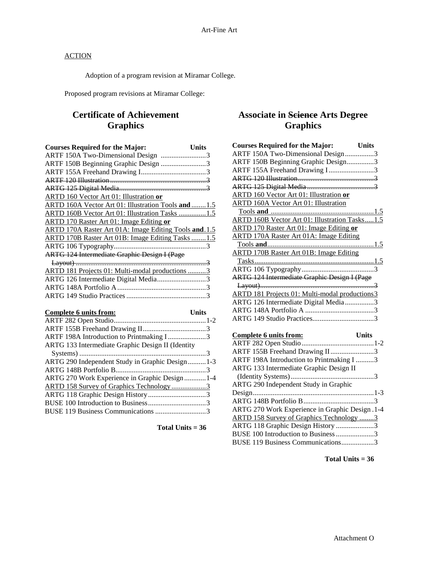Adoption of a program revision at Miramar College.

Proposed program revisions at Miramar College:

## **Certificate of Achievement Graphics**

| <b>Courses Required for the Major:</b>                | <b>Units</b> |
|-------------------------------------------------------|--------------|
| ARTF 150A Two-Dimensional Design 3                    |              |
| ARTF 150B Beginning Graphic Design 3                  |              |
|                                                       |              |
|                                                       |              |
|                                                       |              |
| ARTD 160 Vector Art 01: Illustration or               |              |
| ARTD 160A Vector Art 01: Illustration Tools and  1.5  |              |
| ARTD 160B Vector Art 01: Illustration Tasks 1.5       |              |
| ARTD 170 Raster Art 01: Image Editing or              |              |
| ARTD 170A Raster Art 01A: Image Editing Tools and 1.5 |              |
| ARTD 170B Raster Art 01B: Image Editing Tasks 1.5     |              |
|                                                       |              |
| <b>ARTG 124 Intermediate Graphic Design I (Page</b>   |              |
|                                                       |              |
| ARTD 181 Projects 01: Multi-modal productions 3       |              |
| ARTG 126 Intermediate Digital Media3                  |              |
|                                                       |              |
|                                                       |              |

| Complete 6 units from:                            | Units |
|---------------------------------------------------|-------|
|                                                   |       |
|                                                   |       |
| ARTF 198A Introduction to Printmaking I3          |       |
| ARTG 133 Intermediate Graphic Design II (Identity |       |
|                                                   |       |
| ARTG 290 Independent Study in Graphic Design  1-3 |       |
|                                                   |       |
| ARTG 270 Work Experience in Graphic Design 1-4    |       |
| ARTD 158 Survey of Graphics Technology3           |       |
|                                                   |       |
|                                                   |       |
|                                                   |       |

**Total Units = 36**

## **Associate in Science Arts Degree Graphics**

| <b>Courses Required for the Major:</b> Units          |              |
|-------------------------------------------------------|--------------|
| ARTF 150A Two-Dimensional Design3                     |              |
| ARTF 150B Beginning Graphic Design3                   |              |
| ARTF 155A Freehand Drawing I3                         |              |
|                                                       |              |
|                                                       |              |
| <b>ARTD 160 Vector Art 01: Illustration or</b>        |              |
| <b>ARTD 160A Vector Art 01: Illustration</b>          |              |
|                                                       |              |
| <b>ARTD 160B Vector Art 01: Illustration Tasks1.5</b> |              |
| <b>ARTD 170 Raster Art 01: Image Editing or</b>       |              |
| <b>ARTD 170A Raster Art 01A: Image Editing</b>        |              |
|                                                       |              |
| <b>ARTD 170B Raster Art 01B: Image Editing</b>        |              |
|                                                       |              |
|                                                       |              |
| <b>ARTG 124 Intermediate Graphic Design I (Page</b>   |              |
|                                                       |              |
| ARTD 181 Projects 01: Multi-modal productions3        |              |
| ARTG 126 Intermediate Digital Media 3                 |              |
|                                                       |              |
|                                                       |              |
|                                                       |              |
| Complete 6 units from:                                | <b>Units</b> |
|                                                       |              |
| ARTF 155B Freehand Drawing II3                        |              |
| ARTF 198A Introduction to Printmaking I 3             |              |
| ARTG 133 Intermediate Graphic Design II               |              |

(Identity Systems)..............................................3

Design...................................................................1-3 ARTG 148B Portfolio B.......................................3 ARTG 270 Work Experience in Graphic Design .1-4 ARTD 158 Survey of Graphics Technology ........3 ARTG 118 Graphic Design History .....................3 BUSE 100 Introduction to Business.....................3 BUSE 119 Business Communications..................3

ARTG 290 Independent Study in Graphic

**Total Units = 36**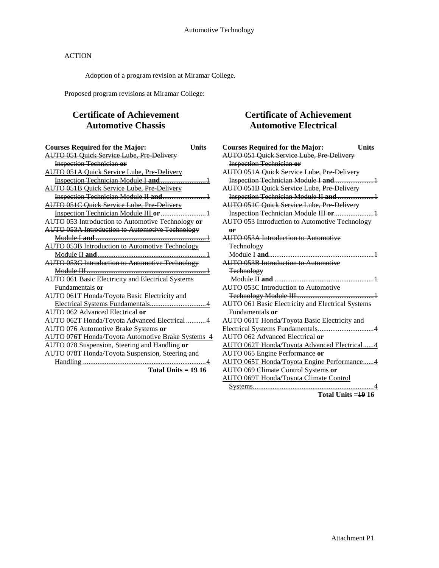Adoption of a program revision at Miramar College.

Proposed program revisions at Miramar College:

## **Certificate of Achievement Automotive Chassis**

| <b>Courses Required for the Major:</b>                   | Units |
|----------------------------------------------------------|-------|
| <b>AUTO 051 Quick Service Lube, Pre Delivery</b>         |       |
| <b>Inspection Technician or</b>                          |       |
| <b>AUTO 051A Quick Service Lube, Pre Delivery</b>        |       |
|                                                          |       |
| <b>AUTO 051B Quick Service Lube, Pre Delivery</b>        |       |
| Inspection Technician Module II and                      |       |
| <b>AUTO 051C Quick Service Lube, Pre Delivery</b>        |       |
|                                                          |       |
| AUTO 053 Introduction to Automotive Technology or        |       |
| <b>AUTO 053A Introduction to Automotive Technology</b>   |       |
|                                                          |       |
| <b>AUTO 053B Introduction to Automotive Technology</b>   |       |
|                                                          |       |
| <b>AUTO 053C Introduction to Automotive Technology</b>   |       |
|                                                          |       |
| AUTO 061 Basic Electricity and Electrical Systems        |       |
| Fundamentals or                                          |       |
| AUTO 061T Honda/Toyota Basic Electricity and             |       |
|                                                          |       |
| AUTO 062 Advanced Electrical or                          |       |
| AUTO 062T Honda/Toyota Advanced Electrical 4             |       |
| AUTO 076 Automotive Brake Systems or                     |       |
| <b>AUTO 076T Honda/Toyota Automotive Brake Systems 4</b> |       |
| AUTO 078 Suspension, Steering and Handling or            |       |
| AUTO 078T Honda/Toyota Suspension, Steering and          |       |
|                                                          |       |
|                                                          |       |

**Total Units = 19 16**

## **Certificate of Achievement Automotive Electrical**

| <b>Courses Required for the Major:</b>                    | <b>Units</b> |
|-----------------------------------------------------------|--------------|
| <b>AUTO 051 Quick Service Lube, Pre Delivery</b>          |              |
| <b>Inspection Technician or</b>                           |              |
| <b>AUTO 051A Quick Service Lube, Pre Delivery</b>         |              |
|                                                           |              |
| <b>AUTO 051B Quick Service Lube, Pre Delivery</b>         |              |
| Inspection Technician Module II and 1                     |              |
| <b>AUTO 051C Quick Service Lube, Pre Delivery</b>         |              |
| Inspection Technician Module III or1                      |              |
| <b>AUTO 053 Introduction to Automotive Technology</b>     |              |
| or                                                        |              |
| <b>AUTO 053A Introduction to Automotive</b>               |              |
| <b>Technology</b>                                         |              |
|                                                           |              |
| <b>AUTO 053B Introduction to Automotive</b>               |              |
| <b>Technology</b>                                         |              |
|                                                           |              |
| <b>AUTO 053C Introduction to Automotive</b>               |              |
|                                                           |              |
| AUTO 061 Basic Electricity and Electrical Systems         |              |
| Fundamentals or                                           |              |
| AUTO 061T Honda/Toyota Basic Electricity and              |              |
|                                                           |              |
| AUTO 062 Advanced Electrical or                           |              |
| AUTO 062T Honda/Toyota Advanced Electrical4               |              |
| AUTO 065 Engine Performance or                            |              |
| AUTO 065T Honda/Toyota Engine Performance4                |              |
| AUTO 069 Climate Control Systems or                       |              |
| <b>AUTO 069T Honda/Toyota Climate Control</b>             |              |
|                                                           |              |
| $\mathbf{r}$ , $\mathbf{r}$ , $\mathbf{r}$ , $\mathbf{r}$ |              |

```
Total Units =19 16
```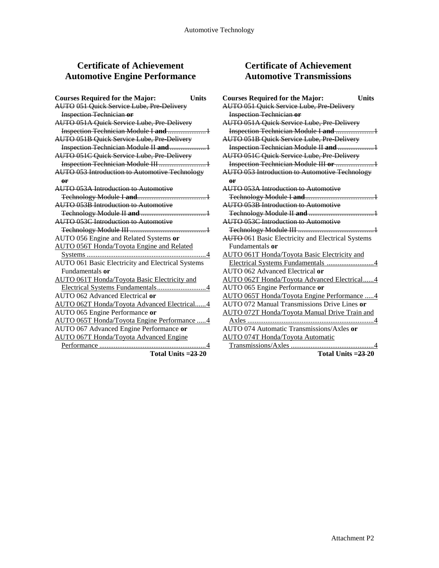## **Certificate of Achievement Automotive Engine Performance**

| <b>Courses Required for the Major:</b>                | <b>Units</b> |
|-------------------------------------------------------|--------------|
| AUTO 051 Quick Service Lube, Pre-Delivery             |              |
| <b>Inspection Technician or</b>                       |              |
| <b>AUTO 051A Quick Service Lube, Pre Delivery</b>     |              |
| Inspection Technician Module I and  1                 |              |
| <b>AUTO 051B Quick Service Lube, Pre Delivery</b>     |              |
|                                                       |              |
| <b>AUTO 051C Quick Service Lube, Pre-Delivery</b>     |              |
| Inspection Technician Module III 1                    |              |
| <b>AUTO 053 Introduction to Automotive Technology</b> |              |
| <b>or</b>                                             |              |
| <b>AUTO 053A Introduction to Automotive</b>           |              |
|                                                       |              |
| <b>AUTO 053B Introduction to Automotive</b>           |              |
|                                                       |              |
| <b>AUTO 053C Introduction to Automotive</b>           |              |
|                                                       |              |
| AUTO 056 Engine and Related Systems or                |              |
| <b>AUTO 056T Honda/Toyota Engine and Related</b>      |              |
|                                                       |              |
| AUTO 061 Basic Electricity and Electrical Systems     |              |
| Fundamentals or                                       |              |
| <b>AUTO 061T Honda/Toyota Basic Electricity and</b>   |              |
|                                                       |              |
| AUTO 062 Advanced Electrical or                       |              |
| AUTO 062T Honda/Toyota Advanced Electrical4           |              |
| AUTO 065 Engine Performance or                        |              |
| AUTO 065T Honda/Toyota Engine Performance  4          |              |
| AUTO 067 Advanced Engine Performance or               |              |
| <b>AUTO 067T Honda/Toyota Advanced Engine</b>         |              |
|                                                       |              |
| Total Units = $23-20$                                 |              |

**Certificate of Achievement Automotive Transmissions**

| <b>Courses Required for the Major:</b><br><b>Units</b>    |  |
|-----------------------------------------------------------|--|
| <b>AUTO 051 Quick Service Lube, Pre-Delivery</b>          |  |
| <b>Inspection Technician or</b>                           |  |
| <b>AUTO 051A Quick Service Lube, Pre Delivery</b>         |  |
| Inspection Technician Module I and 1                      |  |
| <b>AUTO 051B Quick Service Lube, Pre Delivery</b>         |  |
| Inspection Technician Module II and  1                    |  |
| <b>AUTO 051C Quick Service Lube, Pre-Delivery</b>         |  |
| Inspection Technician Module III or 1                     |  |
| <b>AUTO 053 Introduction to Automotive Technology</b>     |  |
| $\theta$ r                                                |  |
| AUTO 053A Introduction to Automotive                      |  |
|                                                           |  |
| <b>AUTO 053B Introduction to Automotive</b>               |  |
|                                                           |  |
| <b>AUTO 053C Introduction to Automotive</b>               |  |
|                                                           |  |
| <b>AUTO</b> -061 Basic Electricity and Electrical Systems |  |
| Fundamentals or                                           |  |
| AUTO 061T Honda/Toyota Basic Electricity and              |  |
| Electrical Systems Fundamentals 4                         |  |
| AUTO 062 Advanced Electrical or                           |  |
| AUTO 062T Honda/Toyota Advanced Electrical4               |  |
| AUTO 065 Engine Performance or                            |  |
| AUTO 065T Honda/Toyota Engine Performance 4               |  |
| AUTO 072 Manual Transmissions Drive Lines or              |  |
| AUTO 072T Honda/Toyota Manual Drive Train and             |  |
|                                                           |  |
| AUTO 074 Automatic Transmissions/Axles or                 |  |
| <b>AUTO 074T Honda/Toyota Automatic</b>                   |  |
|                                                           |  |

**Total Units =23 20**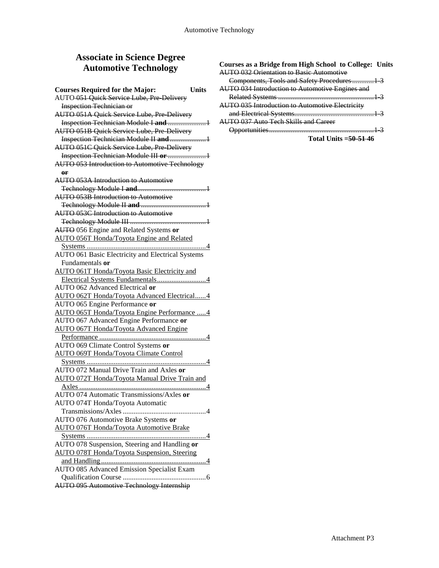## **Associate in Science Degree Automotive Technology**

| <b>Courses Required for the Major:</b>                | <b>Units</b> |
|-------------------------------------------------------|--------------|
| AUTO 051 Quick Service Lube, Pre Delivery             |              |
| <b>Inspection Technician or</b>                       |              |
| <b>AUTO 051A Quick Service Lube, Pre Delivery</b>     |              |
| Inspection Technician Module I and 1                  |              |
| <b>AUTO 051B Quick Service Lube, Pre Delivery</b>     |              |
| Inspection Technician Module II and1                  |              |
| AUTO 051C Quick Service Lube, Pre Delivery            |              |
|                                                       |              |
| <b>AUTO 053 Introduction to Automotive Technology</b> |              |
| 0 <sub>r</sub>                                        |              |
| <b>AUTO 053A Introduction to Automotive</b>           |              |
|                                                       |              |
| <b>AUTO 053B Introduction to Automotive</b>           |              |
|                                                       |              |
| <b>AUTO 053C Introduction to Automotive</b>           |              |
|                                                       |              |
| AUTO 056 Engine and Related Systems or                |              |
| <b>AUTO 056T Honda/Toyota Engine and Related</b>      |              |
|                                                       |              |
| AUTO 061 Basic Electricity and Electrical Systems     |              |
| Fundamentals or                                       |              |
| <b>AUTO 061T Honda/Toyota Basic Electricity and</b>   |              |
| Electrical Systems Fundamentals4                      |              |
| AUTO 062 Advanced Electrical or                       |              |
| AUTO 062T Honda/Toyota Advanced Electrical4           |              |
| AUTO 065 Engine Performance or                        |              |
| AUTO 065T Honda/Toyota Engine Performance  4          |              |
| AUTO 067 Advanced Engine Performance or               |              |
| AUTO 067T Honda/Toyota Advanced Engine                |              |
|                                                       |              |
| AUTO 069 Climate Control Systems or                   |              |
| <b>AUTO 069T Honda/Toyota Climate Control</b>         |              |
|                                                       |              |
| AUTO 072 Manual Drive Train and Axles or              |              |
| AUTO 072T Honda/Toyota Manual Drive Train and         |              |
|                                                       |              |
| AUTO 074 Automatic Transmissions/Axles or             |              |
| AUTO 074T Honda/Toyota Automatic                      |              |
|                                                       |              |
| AUTO 076 Automotive Brake Systems or                  |              |
| <b>AUTO 076T Honda/Toyota Automotive Brake</b>        |              |
|                                                       |              |
| AUTO 078 Suspension, Steering and Handling or         |              |
| <b>AUTO 078T Honda/Toyota Suspension, Steering</b>    |              |
|                                                       |              |
| <b>AUTO 085 Advanced Emission Specialist Exam</b>     |              |
| AUTO 095 Automotive Technology Internship             |              |
|                                                       |              |

#### **Courses as a Bridge from High School to College: Units** AUTO 032 Orientation to Basic Automotive

| Components, Tools and Safety Procedures  1:            |  |
|--------------------------------------------------------|--|
| AUTO 034 Introduction to Automotive Engines and        |  |
|                                                        |  |
| <b>AUTO 035 Introduction to Automotive Electricity</b> |  |
|                                                        |  |
| <b>AUTO 037 Auto Tech Skills and Career</b>            |  |
| <b>Innortunities</b><br>                               |  |

**Total Units =50-51 46**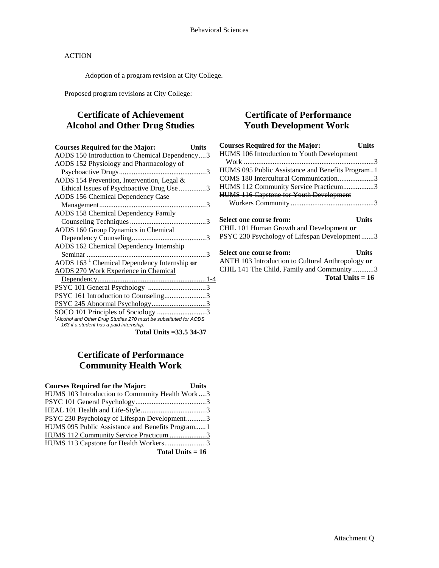Adoption of a program revision at City College.

Proposed program revisions at City College:

## **Certificate of Achievement Alcohol and Other Drug Studies**

| <b>Courses Required for the Major:</b>                                                                                  | Units |
|-------------------------------------------------------------------------------------------------------------------------|-------|
| AODS 150 Introduction to Chemical Dependency3                                                                           |       |
| AODS 152 Physiology and Pharmacology of                                                                                 |       |
|                                                                                                                         |       |
| AODS 154 Prevention, Intervention, Legal &                                                                              |       |
| Ethical Issues of Psychoactive Drug Use 3                                                                               |       |
| AODS 156 Chemical Dependency Case                                                                                       |       |
|                                                                                                                         |       |
| <b>AODS 158 Chemical Dependency Family</b>                                                                              |       |
|                                                                                                                         |       |
| AODS 160 Group Dynamics in Chemical                                                                                     |       |
|                                                                                                                         |       |
| AODS 162 Chemical Dependency Internship                                                                                 |       |
|                                                                                                                         |       |
| AODS $1631$ Chemical Dependency Internship or                                                                           |       |
| <b>AODS 270 Work Experience in Chemical</b>                                                                             |       |
|                                                                                                                         |       |
|                                                                                                                         |       |
| PSYC 161 Introduction to Counseling3                                                                                    |       |
| PSYC 245 Abnormal Psychology3                                                                                           |       |
| SOCO 101 Principles of Sociology 3                                                                                      |       |
| <sup>1</sup> Alcohol and Other Drug Studies 270 must be substituted for AODS<br>163 if a student has a paid internship. |       |
| .                                                                                                                       |       |

**Total Units =33.5 34-37**

## **Certificate of Performance Community Health Work**

| <b>Courses Required for the Major:</b>           | <b>Units</b> |
|--------------------------------------------------|--------------|
| HUMS 103 Introduction to Community Health Work3  |              |
|                                                  |              |
|                                                  |              |
| PSYC 230 Psychology of Lifespan Development3     |              |
| HUMS 095 Public Assistance and Benefits Program1 |              |
| HUMS 112 Community Service Practicum 3           |              |
|                                                  |              |

**Total Units = 16**

## **Certificate of Performance Youth Development Work**

| <b>Courses Required for the Major:</b>           | Units |
|--------------------------------------------------|-------|
| HUMS 106 Introduction to Youth Development       |       |
|                                                  |       |
| HUMS 095 Public Assistance and Benefits Program1 |       |
| COMS 180 Intercultural Communication3            |       |
| HUMS 112 Community Service Practicum3            |       |
| <b>HUMS 116 Capstone for Youth Development</b>   |       |
|                                                  |       |
| Select one course from:                          | Units |
| CHIL 101 Human Growth and Development or         |       |
| PSYC 230 Psychology of Lifespan Development3     |       |

**Select one course from: Units**

ANTH 103 Introduction to Cultural Anthropology **or** CHIL 141 The Child, Family and Community............3 **Total Units = 16**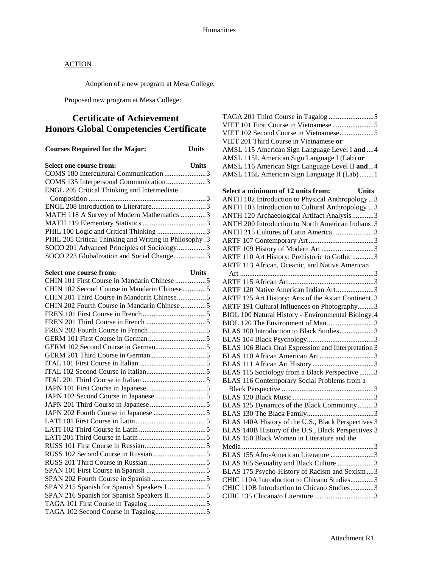Adoption of a new program at Mesa College.

Proposed new program at Mesa College:

## **Certificate of Achievement Honors Global Competencies Certificate**

| <b>Courses Required for the Major:</b>                  | <b>Units</b> |
|---------------------------------------------------------|--------------|
| Select one course from:                                 | <b>Units</b> |
| COMS 180 Intercultural Communication 3                  |              |
| COMS 135 Interpersonal Communication3                   |              |
| ENGL 205 Critical Thinking and Intermediate             |              |
|                                                         |              |
|                                                         |              |
| MATH 118 A Survey of Modern Mathematics 3               |              |
|                                                         |              |
| PHIL 100 Logic and Critical Thinking 3                  |              |
| PHIL 205 Critical Thinking and Writing in Philosophy .3 |              |
| SOCO 201 Advanced Principles of Sociology3              |              |
| SOCO 223 Globalization and Social Change3               |              |
| Select one course from:                                 | <b>Units</b> |
| CHIN 101 First Course in Mandarin Chinese 5             |              |
| CHIN 102 Second Course in Mandarin Chinese5             |              |
| CHIN 201 Third Course in Mandarin Chinese5              |              |
| CHIN 202 Fourth Course in Mandarin Chinese 5            |              |
|                                                         |              |
|                                                         |              |
|                                                         |              |
|                                                         |              |
|                                                         |              |
|                                                         |              |
|                                                         |              |
|                                                         |              |
|                                                         |              |
|                                                         |              |
|                                                         |              |
|                                                         |              |
|                                                         |              |
|                                                         |              |
|                                                         |              |
|                                                         |              |
|                                                         |              |
|                                                         |              |
|                                                         |              |
|                                                         |              |
|                                                         |              |
|                                                         |              |
| SPAN 215 Spanish for Spanish Speakers I 5               |              |
| SPAN 216 Spanish for Spanish Speakers II5               |              |
|                                                         |              |
|                                                         |              |

| VIET 102 Second Course in Vietnamese5                                                                |
|------------------------------------------------------------------------------------------------------|
| VIET 201 Third Course in Vietnamese or                                                               |
| AMSL 115 American Sign Language Level I and  4                                                       |
| AMSL 115L American Sign Language I (Lab) or                                                          |
| AMSL 116 American Sign Language Level II and4                                                        |
| AMSL 116L American Sign Language II (Lab)1                                                           |
| Select a minimum of 12 units from:<br><b>Units</b>                                                   |
| ANTH 102 Introduction to Physical Anthropology 3                                                     |
| ANTH 103 Introduction to Cultural Anthropology 3                                                     |
| ANTH 120 Archaeological Artifact Analysis3                                                           |
| ANTH 200 Introduction to North American Indians .3                                                   |
| ANTH 215 Cultures of Latin America3                                                                  |
|                                                                                                      |
| ARTF 109 History of Modern Art 3                                                                     |
| ARTF 110 Art History: Prehistoric to Gothic 3                                                        |
| ARTF 113 African, Oceanic, and Native American                                                       |
|                                                                                                      |
|                                                                                                      |
| ARTF 120 Native American Indian Art3                                                                 |
| ARTF 125 Art History: Arts of the Asian Continent .3<br>ARTF 191 Cultural Influences on Photography3 |
| BIOL 100 Natural History - Environmental Biology.4                                                   |
| BIOL 120 The Environment of Man3                                                                     |
| BLAS 100 Introduction to Black Studies3                                                              |
|                                                                                                      |
| BLAS 106 Black Oral Expression and Interpretation 3                                                  |
| BLAS 110 African American Art 3                                                                      |
|                                                                                                      |
| BLAS 115 Sociology from a Black Perspective 3                                                        |
| BLAS 116 Contemporary Social Problems from a                                                         |
|                                                                                                      |
|                                                                                                      |
| BLAS 125 Dynamics of the Black Community3                                                            |
|                                                                                                      |
| BLAS 140A History of the U.S., Black Perspectives 3                                                  |
| BLAS 140B History of the U.S., Black Perspectives 3                                                  |
| BLAS 150 Black Women in Literature and the                                                           |
| Media                                                                                                |
| BLAS 155 Afro-American Literature 3                                                                  |
| BLAS 165 Sexuality and Black Culture 3                                                               |
| BLAS 175 Psycho-History of Racism and Sexism3                                                        |
| CHIC 110A Introduction to Chicano Studies3                                                           |
| CHIC 110B Introduction to Chicano Studies3                                                           |
|                                                                                                      |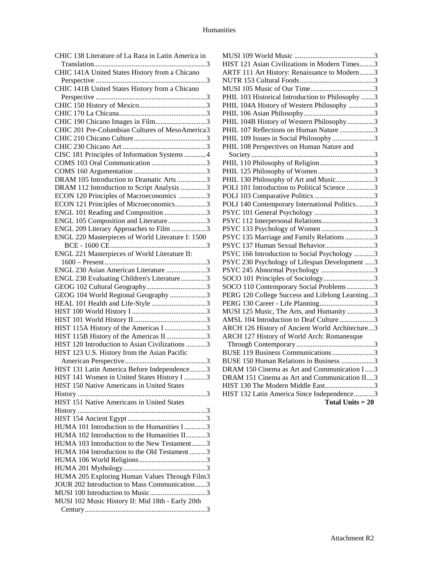| CHIC 138 Literature of La Raza in Latin America in |
|----------------------------------------------------|
|                                                    |
| CHIC 141A United States History from a Chicano     |
|                                                    |
| CHIC 141B United States History from a Chicano     |
|                                                    |
|                                                    |
|                                                    |
| CHIC 190 Chicano Images in Film3                   |
| CHIC 201 Pre-Columbian Cultures of MesoAmerica3    |
|                                                    |
|                                                    |
| CISC 181 Principles of Information Systems 4       |
|                                                    |
|                                                    |
| DRAM 105 Introduction to Dramatic Arts 3           |
| DRAM 112 Introduction to Script Analysis 3         |
| ECON 120 Principles of Macroeconomics 3            |
| ECON 121 Principles of Microeconomics3             |
| ENGL 101 Reading and Composition 3                 |
| ENGL 105 Composition and Literature3               |
| ENGL 209 Literary Approaches to Film 3             |
| ENGL 220 Masterpieces of World Literature I: 1500  |
|                                                    |
| ENGL 221 Masterpieces of World Literature II:      |
|                                                    |
| ENGL 230 Asian American Literature 3               |
| ENGL 238 Evaluating Children's Literature3         |
|                                                    |
| GEOG 104 World Regional Geography 3                |
| HEAL 101 Health and Life-Style 3                   |
|                                                    |
|                                                    |
| HIST 115A History of the Americas I3               |
| HIST 115B History of the Americas II3              |
| HIST 120 Introduction to Asian Civilizations 3     |
| HIST 123 U.S. History from the Asian Pacific       |
|                                                    |
| HIST 131 Latin America Before Independence3        |
| HIST 141 Women in United States History I 3        |
| HIST 150 Native Americans in United States         |
|                                                    |
| HIST 151 Native Americans in United States         |
|                                                    |
|                                                    |
| HUMA 101 Introduction to the Humanities I3         |
| HUMA 102 Introduction to the Humanities II3        |
| HUMA 103 Introduction to the New Testament3        |
| HUMA 104 Introduction to the Old Testament 3       |
|                                                    |
|                                                    |
| HUMA 205 Exploring Human Values Through Film3      |
| JOUR 202 Introduction to Mass Communication3       |
|                                                    |
| MUSI 102 Music History II: Mid 18th - Early 20th   |
|                                                    |
|                                                    |

| HIST 121 Asian Civilizations in Modern Times3    |
|--------------------------------------------------|
| ARTF 111 Art History: Renaissance to Modern3     |
|                                                  |
|                                                  |
| PHIL 103 Historical Introduction to Philosophy 3 |
| PHIL 104A History of Western Philosophy 3        |
|                                                  |
| PHIL 104B History of Western Philosophy3         |
| PHIL 107 Reflections on Human Nature 3           |
| PHIL 109 Issues in Social Philosophy 3           |
| PHIL 108 Perspectives on Human Nature and        |
|                                                  |
| PHIL 110 Philosophy of Religion3                 |
| PHIL 125 Philosophy of Women3                    |
| PHIL 130 Philosophy of Art and Music3            |
| POLI 101 Introduction to Political Science 3     |
|                                                  |
| POLI 140 Contemporary International Politics3    |
|                                                  |
| PSYC 112 Interpersonal Relations3                |
| PSYC 133 Psychology of Women 3                   |
| PSYC 135 Marriage and Family Relations3          |
| PSYC 137 Human Sexual Behavior3                  |
| PSYC 166 Introduction to Social Psychology 3     |
| PSYC 230 Psychology of Lifespan Development 3    |
| PSYC 245 Abnormal Psychology 3                   |
| SOCO 101 Principles of Sociology3                |
| SOCO 110 Contemporary Social Problems3           |
| PERG 120 College Success and Lifelong Learning3  |
| PERG 130 Career - Life Planning3                 |
| MUSI 125 Music, The Arts, and Humanity 3         |
| AMSL 104 Introduction to Deaf Culture 3          |
| ARCH 126 History of Ancient World Architecture3  |
| ARCH 127 History of World Arch: Romanesque       |
| BUSE 119 Business Communications 3               |
| BUSE 150 Human Relations in Business 3           |
| DRAM 150 Cinema as Art and Communication I3      |
| DRAM 151 Cinema as Art and Communication II3     |
| HIST 130 The Modern Middle East3                 |
| HIST 132 Latin America Since Independence3       |
| Total Units $= 20$                               |
|                                                  |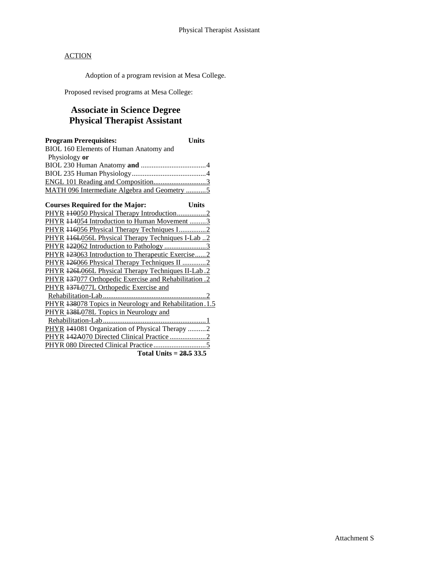Adoption of a program revision at Mesa College.

Proposed revised programs at Mesa College:

## **Associate in Science Degree Physical Therapist Assistant**

| <b>Program Prerequisites:</b>                           | Units        |
|---------------------------------------------------------|--------------|
| BIOL 160 Elements of Human Anatomy and                  |              |
| Physiology or                                           |              |
|                                                         |              |
|                                                         |              |
|                                                         |              |
| MATH 096 Intermediate Algebra and Geometry 5            |              |
|                                                         |              |
| <b>Courses Required for the Major:</b>                  | <b>Units</b> |
| PHYR 440050 Physical Therapy Introduction2              |              |
| PHYR 114054 Introduction to Human Movement 3            |              |
| PHYR 446056 Physical Therapy Techniques I2              |              |
| PHYR 116L056L Physical Therapy Techniques I-Lab2        |              |
| PHYR 122062 Introduction to Pathology 3                 |              |
| PHYR 123063 Introduction to Therapeutic Exercise 2      |              |
| PHYR 126066 Physical Therapy Techniques II 2            |              |
| PHYR 426L066L Physical Therapy Techniques II-Lab.2      |              |
| PHYR 137077 Orthopedic Exercise and Rehabilitation .2   |              |
| PHYR 137L077L Orthopedic Exercise and                   |              |
|                                                         |              |
| PHYR 138078 Topics in Neurology and Rehabilitation. 1.5 |              |
| PHYR 138L078L Topics in Neurology and                   |              |
|                                                         |              |
| PHYR 141081 Organization of Physical Therapy 2          |              |
| PHYR 442A070 Directed Clinical Practice 2               |              |
|                                                         |              |
| Total Units = $28.5$ 33.5                               |              |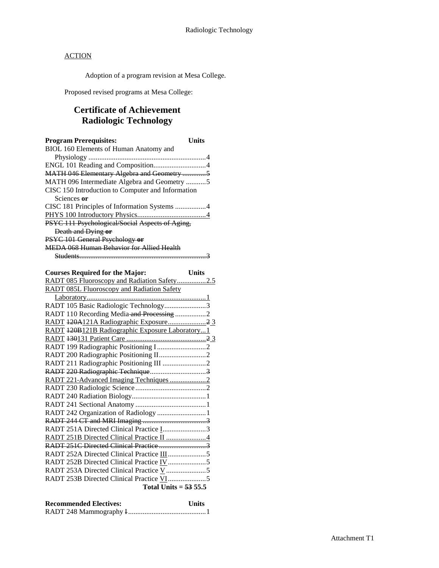Adoption of a program revision at Mesa College.

Proposed revised programs at Mesa College:

## **Certificate of Achievement Radiologic Technology**

| <b>Program Prerequisites:</b>                     | Units |
|---------------------------------------------------|-------|
| BIOL 160 Elements of Human Anatomy and            |       |
|                                                   |       |
|                                                   |       |
| MATH 046 Elementary Algebra and Geometry 5        |       |
| MATH 096 Intermediate Algebra and Geometry 5      |       |
| CISC 150 Introduction to Computer and Information |       |
| Sciences or                                       |       |
|                                                   |       |
|                                                   |       |
| PSYC 111 Psychological/Social Aspects of Aging,   |       |
| Death and Dying or                                |       |
| PSYC 101 General Psychology or                    |       |
| MEDA 068 Human Behavior for Allied Health         |       |
|                                                   |       |

## **Courses Required for the Major: Units**

| RADT 085 Fluoroscopy and Radiation Safety2.5      |  |
|---------------------------------------------------|--|
| <b>RADT 085L Fluoroscopy and Radiation Safety</b> |  |
|                                                   |  |
| RADT 105 Basic Radiologic Technology3             |  |
| RADT 110 Recording Media and Processing 2         |  |
|                                                   |  |
| RADT 420B121B Radiographic Exposure Laboratory1   |  |
|                                                   |  |
|                                                   |  |
|                                                   |  |
| RADT 211 Radiographic Positioning III 2           |  |
|                                                   |  |
| RADT 221-Advanced Imaging Techniques 2            |  |
|                                                   |  |
|                                                   |  |
|                                                   |  |
| RADT 242 Organization of Radiology 1              |  |
|                                                   |  |
| RADT 251A Directed Clinical Practice I3           |  |
|                                                   |  |
|                                                   |  |
|                                                   |  |
|                                                   |  |
|                                                   |  |
|                                                   |  |
| Total Units = $53\,55.5$                          |  |
|                                                   |  |

| <b>Recommended Electives:</b> | <b>Units</b> |
|-------------------------------|--------------|
|                               |              |